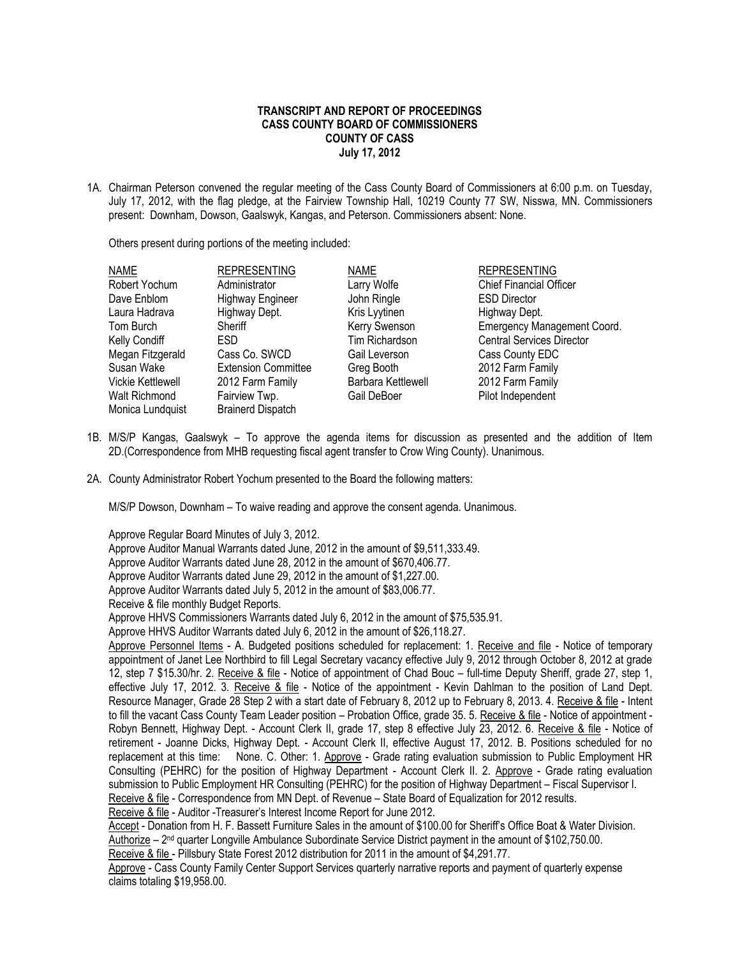## **TRANSCRIPT AND REPORT OF PROCEEDINGS CASS COUNTY BOARD OF COMMISSIONERS COUNTY OF CASS July 17, 2012**

1A. Chairman Peterson convened the regular meeting of the Cass County Board of Commissioners at 6:00 p.m. on Tuesday, July 17, 2012, with the flag pledge, at the Fairview Township Hall, 10219 County 77 SW, Nisswa, MN. Commissioners present: Downham, Dowson, Gaalswyk, Kangas, and Peterson. Commissioners absent: None.

Others present during portions of the meeting included:

| <b>NAME</b>              | <b>REPRESENTING</b>        | <b>NAME</b>        | <b>REPRESENTING</b>              |
|--------------------------|----------------------------|--------------------|----------------------------------|
| Robert Yochum            | Administrator              | Larry Wolfe        | <b>Chief Financial Officer</b>   |
| Dave Enblom              | <b>Highway Engineer</b>    | John Ringle        | <b>ESD Director</b>              |
| Laura Hadrava            | Highway Dept.              | Kris Lyytinen      | Highway Dept.                    |
| Tom Burch                | Sheriff                    | Kerry Swenson      | Emergency Management Coord.      |
| Kelly Condiff            | ESD.                       | Tim Richardson     | <b>Central Services Director</b> |
| Megan Fitzgerald         | Cass Co. SWCD              | Gail Leverson      | Cass County EDC                  |
| Susan Wake               | <b>Extension Committee</b> | Greg Booth         | 2012 Farm Family                 |
| <b>Vickie Kettlewell</b> | 2012 Farm Family           | Barbara Kettlewell | 2012 Farm Family                 |
| Walt Richmond            | Fairview Twp.              | Gail DeBoer        | Pilot Independent                |
| Monica Lundquist         | <b>Brainerd Dispatch</b>   |                    |                                  |

- 1B. M/S/P Kangas, Gaalswyk To approve the agenda items for discussion as presented and the addition of Item 2D.(Correspondence from MHB requesting fiscal agent transfer to Crow Wing County). Unanimous.
- 2A. County Administrator Robert Yochum presented to the Board the following matters:

M/S/P Dowson, Downham – To waive reading and approve the consent agenda. Unanimous.

Approve Regular Board Minutes of July 3, 2012. Approve Auditor Manual Warrants dated June, 2012 in the amount of \$9,511,333.49. Approve Auditor Warrants dated June 28, 2012 in the amount of \$670,406.77. Approve Auditor Warrants dated June 29, 2012 in the amount of \$1,227.00. Approve Auditor Warrants dated July 5, 2012 in the amount of \$83,006.77. Receive & file monthly Budget Reports. Approve HHVS Commissioners Warrants dated July 6, 2012 in the amount of \$75,535.91. Approve HHVS Auditor Warrants dated July 6, 2012 in the amount of \$26,118.27. Approve Personnel Items - A. Budgeted positions scheduled for replacement: 1. Receive and file - Notice of temporary appointment of Janet Lee Northbird to fill Legal Secretary vacancy effective July 9, 2012 through October 8, 2012 at grade 12, step 7 \$15.30/hr. 2. Receive & file - Notice of appointment of Chad Bouc – full-time Deputy Sheriff, grade 27, step 1, effective July 17, 2012. 3. Receive & file - Notice of the appointment - Kevin Dahlman to the position of Land Dept. Resource Manager, Grade 28 Step 2 with a start date of February 8, 2012 up to February 8, 2013. 4. Receive & file - Intent to fill the vacant Cass County Team Leader position – Probation Office, grade 35. 5. Receive & file - Notice of appointment - Robyn Bennett, Highway Dept. - Account Clerk II, grade 17, step 8 effective July 23, 2012. 6. Receive & file - Notice of retirement - Joanne Dicks, Highway Dept. - Account Clerk II, effective August 17, 2012. B. Positions scheduled for no replacement at this time: None. C. Other: 1. Approve - Grade rating evaluation submission to Public Employment HR Consulting (PEHRC) for the position of Highway Department - Account Clerk II. 2. Approve - Grade rating evaluation submission to Public Employment HR Consulting (PEHRC) for the position of Highway Department – Fiscal Supervisor I. Receive & file - Correspondence from MN Dept. of Revenue – State Board of Equalization for 2012 results. Receive & file - Auditor -Treasurer's Interest Income Report for June 2012. Accept - Donation from H. F. Bassett Furniture Sales in the amount of \$100.00 for Sheriff's Office Boat & Water Division. Authorize – 2<sup>nd</sup> quarter Longville Ambulance Subordinate Service District payment in the amount of \$102,750.00. Receive & file - Pillsbury State Forest 2012 distribution for 2011 in the amount of \$4,291.77. Approve - Cass County Family Center Support Services quarterly narrative reports and payment of quarterly expense claims totaling \$19,958.00.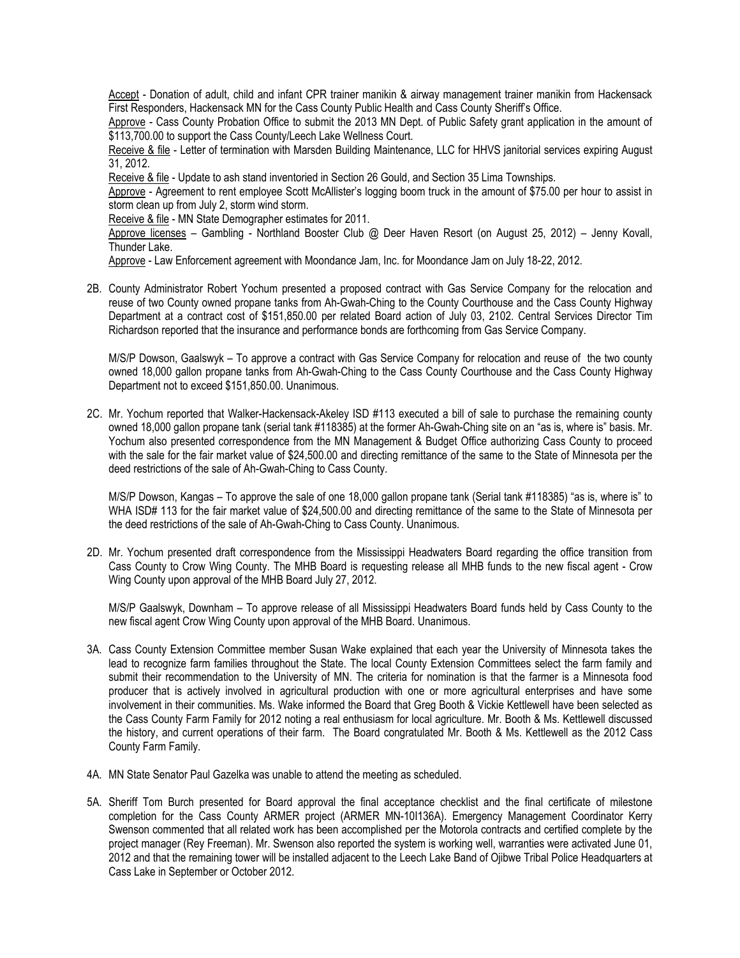Accept - Donation of adult, child and infant CPR trainer manikin & airway management trainer manikin from Hackensack First Responders, Hackensack MN for the Cass County Public Health and Cass County Sheriff's Office.

Approve - Cass County Probation Office to submit the 2013 MN Dept. of Public Safety grant application in the amount of \$113,700.00 to support the Cass County/Leech Lake Wellness Court.

Receive & file - Letter of termination with Marsden Building Maintenance, LLC for HHVS janitorial services expiring August 31, 2012.

Receive & file - Update to ash stand inventoried in Section 26 Gould, and Section 35 Lima Townships.

Approve - Agreement to rent employee Scott McAllister's logging boom truck in the amount of \$75.00 per hour to assist in storm clean up from July 2, storm wind storm.

Receive & file - MN State Demographer estimates for 2011.

Approve licenses – Gambling - Northland Booster Club @ Deer Haven Resort (on August 25, 2012) – Jenny Kovall, Thunder Lake.

Approve - Law Enforcement agreement with Moondance Jam, Inc. for Moondance Jam on July 18-22, 2012.

2B. County Administrator Robert Yochum presented a proposed contract with Gas Service Company for the relocation and reuse of two County owned propane tanks from Ah-Gwah-Ching to the County Courthouse and the Cass County Highway Department at a contract cost of \$151,850.00 per related Board action of July 03, 2102. Central Services Director Tim Richardson reported that the insurance and performance bonds are forthcoming from Gas Service Company.

M/S/P Dowson, Gaalswyk – To approve a contract with Gas Service Company for relocation and reuse of the two county owned 18,000 gallon propane tanks from Ah-Gwah-Ching to the Cass County Courthouse and the Cass County Highway Department not to exceed \$151,850.00. Unanimous.

2C. Mr. Yochum reported that Walker-Hackensack-Akeley ISD #113 executed a bill of sale to purchase the remaining county owned 18,000 gallon propane tank (serial tank #118385) at the former Ah-Gwah-Ching site on an "as is, where is" basis. Mr. Yochum also presented correspondence from the MN Management & Budget Office authorizing Cass County to proceed with the sale for the fair market value of \$24,500.00 and directing remittance of the same to the State of Minnesota per the deed restrictions of the sale of Ah-Gwah-Ching to Cass County.

M/S/P Dowson, Kangas – To approve the sale of one 18,000 gallon propane tank (Serial tank #118385) "as is, where is" to WHA ISD# 113 for the fair market value of \$24,500.00 and directing remittance of the same to the State of Minnesota per the deed restrictions of the sale of Ah-Gwah-Ching to Cass County. Unanimous.

2D. Mr. Yochum presented draft correspondence from the Mississippi Headwaters Board regarding the office transition from Cass County to Crow Wing County. The MHB Board is requesting release all MHB funds to the new fiscal agent - Crow Wing County upon approval of the MHB Board July 27, 2012.

M/S/P Gaalswyk, Downham – To approve release of all Mississippi Headwaters Board funds held by Cass County to the new fiscal agent Crow Wing County upon approval of the MHB Board. Unanimous.

- 3A. Cass County Extension Committee member Susan Wake explained that each year the University of Minnesota takes the lead to recognize farm families throughout the State. The local County Extension Committees select the farm family and submit their recommendation to the University of MN. The criteria for nomination is that the farmer is a Minnesota food producer that is actively involved in agricultural production with one or more agricultural enterprises and have some involvement in their communities. Ms. Wake informed the Board that Greg Booth & Vickie Kettlewell have been selected as the Cass County Farm Family for 2012 noting a real enthusiasm for local agriculture. Mr. Booth & Ms. Kettlewell discussed the history, and current operations of their farm. The Board congratulated Mr. Booth & Ms. Kettlewell as the 2012 Cass County Farm Family.
- 4A. MN State Senator Paul Gazelka was unable to attend the meeting as scheduled.
- 5A. Sheriff Tom Burch presented for Board approval the final acceptance checklist and the final certificate of milestone completion for the Cass County ARMER project (ARMER MN-10I136A). Emergency Management Coordinator Kerry Swenson commented that all related work has been accomplished per the Motorola contracts and certified complete by the project manager (Rey Freeman). Mr. Swenson also reported the system is working well, warranties were activated June 01, 2012 and that the remaining tower will be installed adjacent to the Leech Lake Band of Ojibwe Tribal Police Headquarters at Cass Lake in September or October 2012.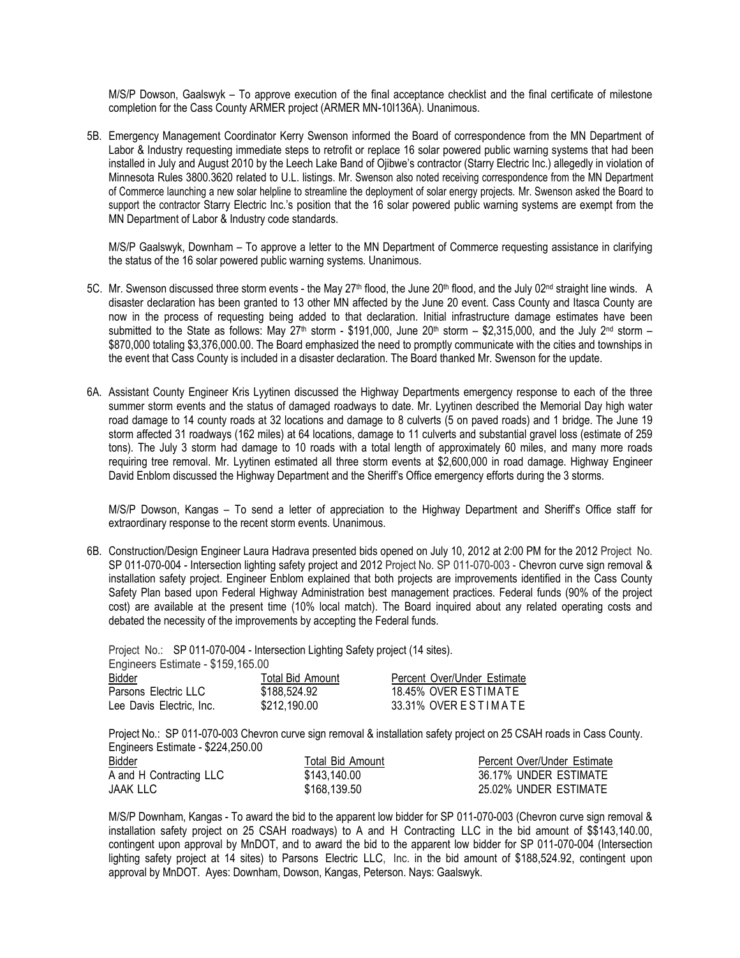M/S/P Dowson, Gaalswyk – To approve execution of the final acceptance checklist and the final certificate of milestone completion for the Cass County ARMER project (ARMER MN-10I136A). Unanimous.

5B. Emergency Management Coordinator Kerry Swenson informed the Board of correspondence from the MN Department of Labor & Industry requesting immediate steps to retrofit or replace 16 solar powered public warning systems that had been installed in July and August 2010 by the Leech Lake Band of Ojibwe's contractor (Starry Electric Inc.) allegedly in violation of Minnesota Rules 3800.3620 related to U.L. listings. Mr. Swenson also noted receiving correspondence from the MN Department of Commerce launching a new solar helpline to streamline the deployment of solar energy projects. Mr. Swenson asked the Board to support the contractor Starry Electric Inc.'s position that the 16 solar powered public warning systems are exempt from the MN Department of Labor & Industry code standards.

M/S/P Gaalswyk, Downham – To approve a letter to the MN Department of Commerce requesting assistance in clarifying the status of the 16 solar powered public warning systems. Unanimous.

- 5C. Mr. Swenson discussed three storm events the May 27<sup>th</sup> flood, the June 20<sup>th</sup> flood, and the July 02<sup>nd</sup> straight line winds. A disaster declaration has been granted to 13 other MN affected by the June 20 event. Cass County and Itasca County are now in the process of requesting being added to that declaration. Initial infrastructure damage estimates have been submitted to the State as follows: May  $27th$  storm - \$191,000, June  $20th$  storm - \$2,315,000, and the July  $2nd$  storm -\$870,000 totaling \$3,376,000.00. The Board emphasized the need to promptly communicate with the cities and townships in the event that Cass County is included in a disaster declaration. The Board thanked Mr. Swenson for the update.
- 6A. Assistant County Engineer Kris Lyytinen discussed the Highway Departments emergency response to each of the three summer storm events and the status of damaged roadways to date. Mr. Lyytinen described the Memorial Day high water road damage to 14 county roads at 32 locations and damage to 8 culverts (5 on paved roads) and 1 bridge. The June 19 storm affected 31 roadways (162 miles) at 64 locations, damage to 11 culverts and substantial gravel loss (estimate of 259 tons). The July 3 storm had damage to 10 roads with a total length of approximately 60 miles, and many more roads requiring tree removal. Mr. Lyytinen estimated all three storm events at \$2,600,000 in road damage. Highway Engineer David Enblom discussed the Highway Department and the Sheriff's Office emergency efforts during the 3 storms.

M/S/P Dowson, Kangas – To send a letter of appreciation to the Highway Department and Sheriff's Office staff for extraordinary response to the recent storm events. Unanimous.

6B. Construction/Design Engineer Laura Hadrava presented bids opened on July 10, 2012 at 2:00 PM for the 2012 Project No. SP 011-070-004 - Intersection lighting safety project and 2012 Project No. SP 011-070-003 - Chevron curve sign removal & installation safety project. Engineer Enblom explained that both projects are improvements identified in the Cass County Safety Plan based upon Federal Highway Administration best management practices. Federal funds (90% of the project cost) are available at the present time (10% local match). The Board inquired about any related operating costs and debated the necessity of the improvements by accepting the Federal funds.

Project No.: SP 011-070-004 - Intersection Lighting Safety project (14 sites).

| Engineers Estimate - \$159,165.00 |                  |                             |  |  |  |  |
|-----------------------------------|------------------|-----------------------------|--|--|--|--|
| Bidder                            | Total Bid Amount | Percent Over/Under Estimate |  |  |  |  |
| Parsons_Electric LLC_             | \$188,524.92     | 18.45% OVER ESTIMATE        |  |  |  |  |
| Lee Davis Electric. Inc.          | \$212,190.00     | 33.31% OVER ESTIMATE        |  |  |  |  |
|                                   |                  |                             |  |  |  |  |

Project No.: SP 011-070-003 Chevron curve sign removal & installation safety project on 25 CSAH roads in Cass County. Engineers Estimate - \$224,250.00

| <b>Bidder</b>           | Total Bid Amount | Percent Over/Under Estimate |
|-------------------------|------------------|-----------------------------|
| A and H Contracting LLC | \$143,140.00     | 36.17% UNDER ESTIMATE       |
| JAAK LLC                | \$168,139.50     | 25.02% UNDER ESTIMATE       |

M/S/P Downham, Kangas - To award the bid to the apparent low bidder for SP 011-070-003 (Chevron curve sign removal & installation safety project on 25 CSAH roadways) to A and H Contracting LLC in the bid amount of \$\$143,140.00, contingent upon approval by MnDOT, and to award the bid to the apparent low bidder for SP 011-070-004 (Intersection lighting safety project at 14 sites) to Parsons Electric LLC, Inc. in the bid amount of \$188,524.92, contingent upon approval by MnDOT. Ayes: Downham, Dowson, Kangas, Peterson. Nays: Gaalswyk.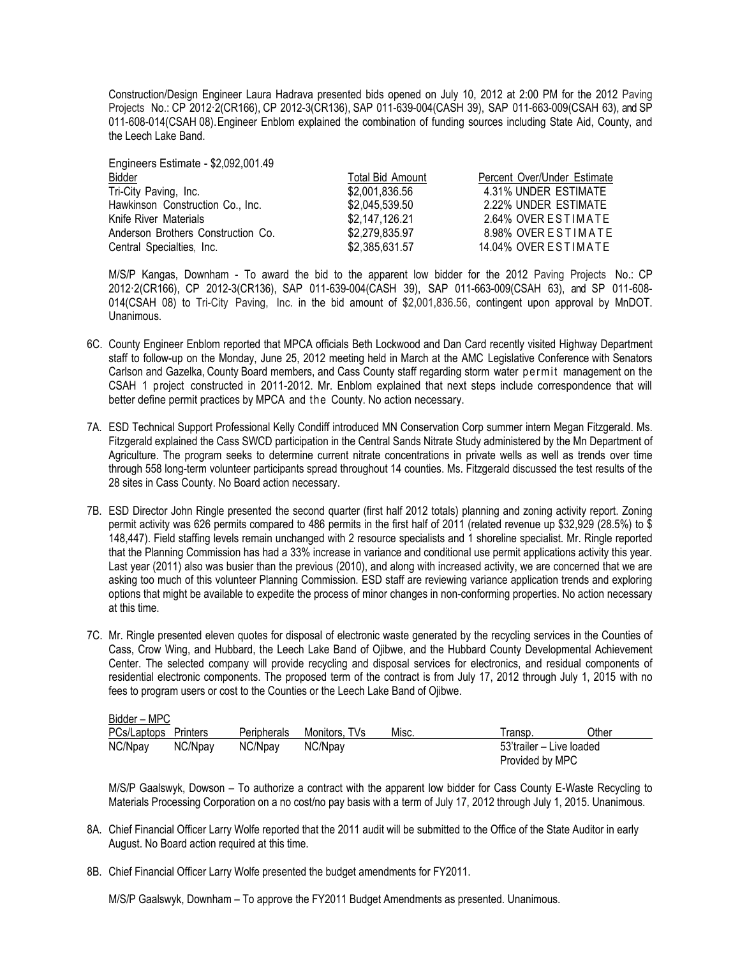Construction/Design Engineer Laura Hadrava presented bids opened on July 10, 2012 at 2:00 PM for the 2012 Paving Projects No.: CP 2012·2(CR166), CP 2012-3(CR136), SAP 011-639-004(CASH 39), SAP 011-663-009(CSAH 63), and SP 011-608-014(CSAH 08).Engineer Enblom explained the combination of funding sources including State Aid, County, and the Leech Lake Band.

| Percent Over/Under Estimate |
|-----------------------------|
| 4.31% UNDER ESTIMATE        |
| 2.22% UNDER ESTIMATE        |
| 2.64% OVER ESTIMATE         |
| 8.98% OVER ESTIMATE         |
| 14.04% OVER ESTIMATE        |
|                             |

Engineers Estimate - \$2,092,001.49

M/S/P Kangas, Downham - To award the bid to the apparent low bidder for the 2012 Paving Projects No.: CP 2012·2(CR166), CP 2012-3(CR136), SAP 011-639-004(CASH 39), SAP 011-663-009(CSAH 63), and SP 011-608- 014(CSAH 08) to Tri-City Paving, Inc. in the bid amount of \$2,001,836.56, contingent upon approval by MnDOT. Unanimous.

- 6C. County Engineer Enblom reported that MPCA officials Beth Lockwood and Dan Card recently visited Highway Department staff to follow-up on the Monday, June 25, 2012 meeting held in March at the AMC Legislative Conference with Senators Carlson and Gazelka, County Board members, and Cass County staff regarding storm water per mit management on the CSAH 1 project constructed in 2011-2012. Mr. Enblom explained that next steps include correspondence that will better define permit practices by MPCA and the County. No action necessary.
- 7A. ESD Technical Support Professional Kelly Condiff introduced MN Conservation Corp summer intern Megan Fitzgerald. Ms. Fitzgerald explained the Cass SWCD participation in the Central Sands Nitrate Study administered by the Mn Department of Agriculture. The program seeks to determine current nitrate concentrations in private wells as well as trends over time through 558 long-term volunteer participants spread throughout 14 counties. Ms. Fitzgerald discussed the test results of the 28 sites in Cass County. No Board action necessary.
- 7B. ESD Director John Ringle presented the second quarter (first half 2012 totals) planning and zoning activity report. Zoning permit activity was 626 permits compared to 486 permits in the first half of 2011 (related revenue up \$32,929 (28.5%) to \$ 148,447). Field staffing levels remain unchanged with 2 resource specialists and 1 shoreline specialist. Mr. Ringle reported that the Planning Commission has had a 33% increase in variance and conditional use permit applications activity this year. Last year (2011) also was busier than the previous (2010), and along with increased activity, we are concerned that we are asking too much of this volunteer Planning Commission. ESD staff are reviewing variance application trends and exploring options that might be available to expedite the process of minor changes in non-conforming properties. No action necessary at this time.
- 7C. Mr. Ringle presented eleven quotes for disposal of electronic waste generated by the recycling services in the Counties of Cass, Crow Wing, and Hubbard, the Leech Lake Band of Ojibwe, and the Hubbard County Developmental Achievement Center. The selected company will provide recycling and disposal services for electronics, and residual components of residential electronic components. The proposed term of the contract is from July 17, 2012 through July 1, 2015 with no fees to program users or cost to the Counties or the Leech Lake Band of Ojibwe.

| Bidder – MPC         |         |             |               |       |                 |                          |  |
|----------------------|---------|-------------|---------------|-------|-----------------|--------------------------|--|
| PCs/Laptops Printers |         | Peripherals | Monitors, TVs | Misc. | Transp.         | วther                    |  |
| NC/Npay              | NC/Npay | NC/Npay     | NC/Npay       |       |                 | 53'trailer – Live loaded |  |
|                      |         |             |               |       | Provided by MPC |                          |  |

M/S/P Gaalswyk, Dowson – To authorize a contract with the apparent low bidder for Cass County E-Waste Recycling to Materials Processing Corporation on a no cost/no pay basis with a term of July 17, 2012 through July 1, 2015. Unanimous.

- 8A. Chief Financial Officer Larry Wolfe reported that the 2011 audit will be submitted to the Office of the State Auditor in early August. No Board action required at this time.
- 8B. Chief Financial Officer Larry Wolfe presented the budget amendments for FY2011.

M/S/P Gaalswyk, Downham – To approve the FY2011 Budget Amendments as presented. Unanimous.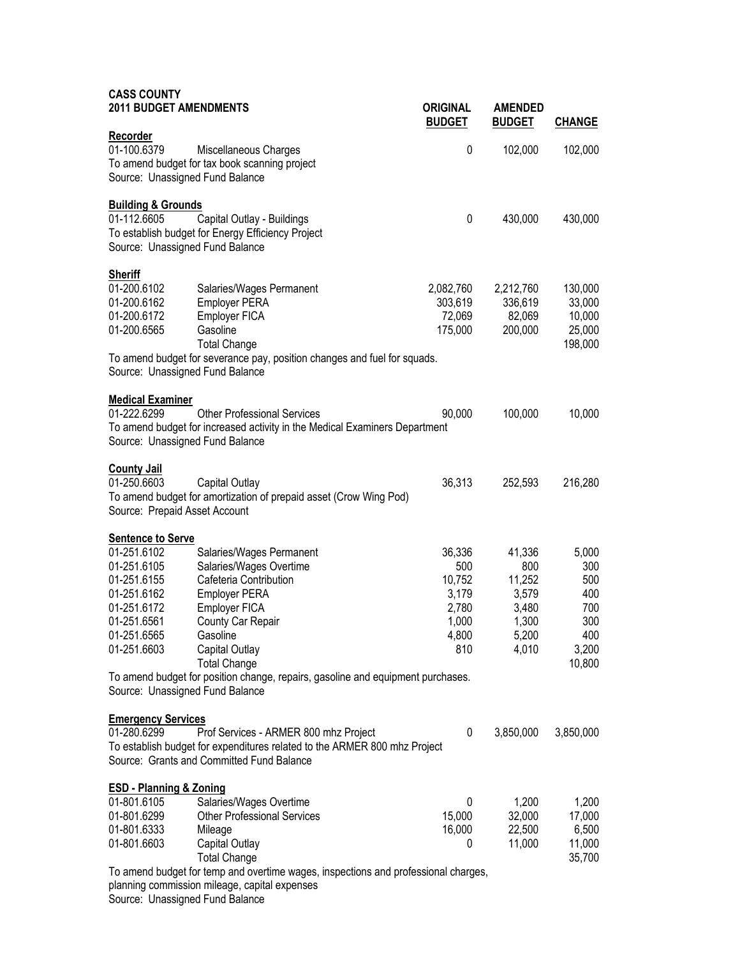| <b>CASS COUNTY</b><br><b>2011 BUDGET AMENDMENTS</b>                                                                                                                                                                                                                                                                                                                                                                                                                        | <b>ORIGINAL</b>                                                    | <b>AMENDED</b>                                                       |                                                                    |
|----------------------------------------------------------------------------------------------------------------------------------------------------------------------------------------------------------------------------------------------------------------------------------------------------------------------------------------------------------------------------------------------------------------------------------------------------------------------------|--------------------------------------------------------------------|----------------------------------------------------------------------|--------------------------------------------------------------------|
|                                                                                                                                                                                                                                                                                                                                                                                                                                                                            | <b>BUDGET</b>                                                      | <b>BUDGET</b>                                                        | <b>CHANGE</b>                                                      |
| <b>Recorder</b><br>01-100.6379<br>Miscellaneous Charges<br>To amend budget for tax book scanning project<br>Source: Unassigned Fund Balance                                                                                                                                                                                                                                                                                                                                | 0                                                                  | 102,000                                                              | 102,000                                                            |
| <b>Building &amp; Grounds</b><br>01-112.6605<br>Capital Outlay - Buildings<br>To establish budget for Energy Efficiency Project<br>Source: Unassigned Fund Balance                                                                                                                                                                                                                                                                                                         | 0                                                                  | 430,000                                                              | 430,000                                                            |
| <b>Sheriff</b><br>01-200.6102<br>Salaries/Wages Permanent<br><b>Employer PERA</b><br>01-200.6162<br>Employer FICA<br>01-200.6172<br>01-200.6565<br>Gasoline<br><b>Total Change</b><br>To amend budget for severance pay, position changes and fuel for squads.<br>Source: Unassigned Fund Balance                                                                                                                                                                          | 2,082,760<br>303,619<br>72,069<br>175,000                          | 2,212,760<br>336,619<br>82,069<br>200,000                            | 130,000<br>33,000<br>10,000<br>25,000<br>198,000                   |
| <b>Medical Examiner</b><br>01-222.6299<br><b>Other Professional Services</b><br>To amend budget for increased activity in the Medical Examiners Department<br>Source: Unassigned Fund Balance                                                                                                                                                                                                                                                                              | 90,000                                                             | 100,000                                                              | 10,000                                                             |
| <b>County Jail</b><br>01-250.6603<br>Capital Outlay<br>To amend budget for amortization of prepaid asset (Crow Wing Pod)<br>Source: Prepaid Asset Account                                                                                                                                                                                                                                                                                                                  | 36,313                                                             | 252,593                                                              | 216,280                                                            |
| <b>Sentence to Serve</b><br>01-251.6102<br>Salaries/Wages Permanent<br>01-251.6105<br>Salaries/Wages Overtime<br>01-251.6155<br>Cafeteria Contribution<br>01-251.6162<br><b>Employer PERA</b><br>01-251.6172<br>Employer FICA<br>01-251.6561<br>County Car Repair<br>01-251.6565<br>Gasoline<br>01-251.6603<br>Capital Outlay<br><b>Total Change</b><br>To amend budget for position change, repairs, gasoline and equipment purchases.<br>Source: Unassigned Fund Balance | 36,336<br>500<br>10,752<br>3,179<br>2,780<br>1,000<br>4,800<br>810 | 41,336<br>800<br>11,252<br>3,579<br>3,480<br>1,300<br>5,200<br>4,010 | 5,000<br>300<br>500<br>400<br>700<br>300<br>400<br>3,200<br>10,800 |
| <b>Emergency Services</b><br>01-280.6299<br>Prof Services - ARMER 800 mhz Project<br>To establish budget for expenditures related to the ARMER 800 mhz Project<br>Source: Grants and Committed Fund Balance                                                                                                                                                                                                                                                                | 0                                                                  | 3,850,000                                                            | 3,850,000                                                          |
| <b>ESD - Planning &amp; Zoning</b><br>01-801.6105<br>Salaries/Wages Overtime<br>01-801.6299<br><b>Other Professional Services</b><br>01-801.6333<br>Mileage<br>01-801.6603<br>Capital Outlay<br><b>Total Change</b><br>To amend budget for temp and overtime wages, inspections and professional charges,<br>planning commission mileage, capital expenses                                                                                                                 | 0<br>15,000<br>16,000<br>0                                         | 1,200<br>32,000<br>22,500<br>11,000                                  | 1,200<br>17,000<br>6,500<br>11,000<br>35,700                       |

Source: Unassigned Fund Balance